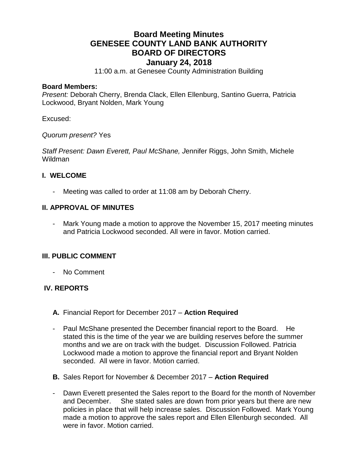# **Board Meeting Minutes GENESEE COUNTY LAND BANK AUTHORITY BOARD OF DIRECTORS January 24, 2018**

11:00 a.m. at Genesee County Administration Building

#### **Board Members:**

*Present:* Deborah Cherry, Brenda Clack, Ellen Ellenburg, Santino Guerra, Patricia Lockwood, Bryant Nolden, Mark Young

Excused:

*Quorum present?* Yes

*Staff Present: Dawn Everett, Paul McShane, J*ennifer Riggs, John Smith, Michele Wildman

#### **I. WELCOME**

Meeting was called to order at 11:08 am by Deborah Cherry.

## **II. APPROVAL OF MINUTES**

- Mark Young made a motion to approve the November 15, 2017 meeting minutes and Patricia Lockwood seconded. All were in favor. Motion carried.

## **III. PUBLIC COMMENT**

- No Comment

## **IV. REPORTS**

- **A.** Financial Report for December 2017 **Action Required**
- Paul McShane presented the December financial report to the Board. He stated this is the time of the year we are building reserves before the summer months and we are on track with the budget. Discussion Followed. Patricia Lockwood made a motion to approve the financial report and Bryant Nolden seconded. All were in favor. Motion carried.
- **B.** Sales Report for November & December 2017 **Action Required**
- Dawn Everett presented the Sales report to the Board for the month of November and December. She stated sales are down from prior years but there are new policies in place that will help increase sales. Discussion Followed. Mark Young made a motion to approve the sales report and Ellen Ellenburgh seconded. All were in favor. Motion carried.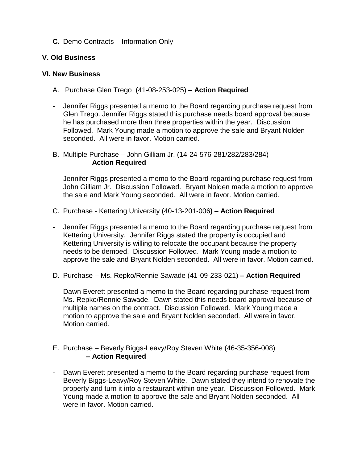# **C.** Demo Contracts – Information Only

## **V. Old Business**

## **VI. New Business**

- A. Purchase Glen Trego (41-08-253-025) **– Action Required**
- Jennifer Riggs presented a memo to the Board regarding purchase request from Glen Trego. Jennifer Riggs stated this purchase needs board approval because he has purchased more than three properties within the year. Discussion Followed. Mark Young made a motion to approve the sale and Bryant Nolden seconded. All were in favor. Motion carried.
- B. Multiple Purchase John Gilliam Jr. (14-24-576-281/282/283/284) – **Action Required**
- Jennifer Riggs presented a memo to the Board regarding purchase request from John Gilliam Jr. Discussion Followed. Bryant Nolden made a motion to approve the sale and Mark Young seconded. All were in favor. Motion carried.
- C. Purchase Kettering University (40-13-201-006**) – Action Required**
- Jennifer Riggs presented a memo to the Board regarding purchase request from Kettering University. Jennifer Riggs stated the property is occupied and Kettering University is willing to relocate the occupant because the property needs to be demoed. Discussion Followed. Mark Young made a motion to approve the sale and Bryant Nolden seconded. All were in favor. Motion carried.
- D. Purchase Ms. Repko/Rennie Sawade (41-09-233-021) **– Action Required**
- Dawn Everett presented a memo to the Board regarding purchase request from Ms. Repko/Rennie Sawade. Dawn stated this needs board approval because of multiple names on the contract. Discussion Followed. Mark Young made a motion to approve the sale and Bryant Nolden seconded. All were in favor. Motion carried.

#### E. Purchase – Beverly Biggs-Leavy/Roy Steven White (46-35-356-008) **– Action Required**

- Dawn Everett presented a memo to the Board regarding purchase request from Beverly Biggs-Leavy/Roy Steven White. Dawn stated they intend to renovate the property and turn it into a restaurant within one year. Discussion Followed. Mark Young made a motion to approve the sale and Bryant Nolden seconded. All were in favor. Motion carried.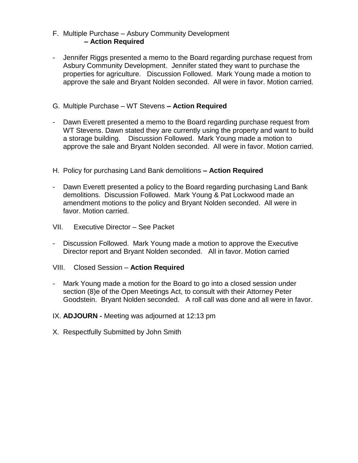## F. Multiple Purchase – Asbury Community Development **– Action Required**

- Jennifer Riggs presented a memo to the Board regarding purchase request from Asbury Community Development. Jennifer stated they want to purchase the properties for agriculture. Discussion Followed. Mark Young made a motion to approve the sale and Bryant Nolden seconded. All were in favor. Motion carried.
- G. Multiple Purchase WT Stevens **– Action Required**
- Dawn Everett presented a memo to the Board regarding purchase request from WT Stevens. Dawn stated they are currently using the property and want to build a storage building. Discussion Followed. Mark Young made a motion to approve the sale and Bryant Nolden seconded. All were in favor. Motion carried.
- H. Policy for purchasing Land Bank demolitions **– Action Required**
- Dawn Everett presented a policy to the Board regarding purchasing Land Bank demolitions. Discussion Followed. Mark Young & Pat Lockwood made an amendment motions to the policy and Bryant Nolden seconded. All were in favor. Motion carried.
- VII. Executive Director See Packet
- Discussion Followed. Mark Young made a motion to approve the Executive Director report and Bryant Nolden seconded. All in favor. Motion carried
- VIII. Closed Session **Action Required**
- Mark Young made a motion for the Board to go into a closed session under section (8)e of the Open Meetings Act, to consult with their Attorney Peter Goodstein. Bryant Nolden seconded. A roll call was done and all were in favor.
- IX. **ADJOURN -** Meeting was adjourned at 12:13 pm
- X. Respectfully Submitted by John Smith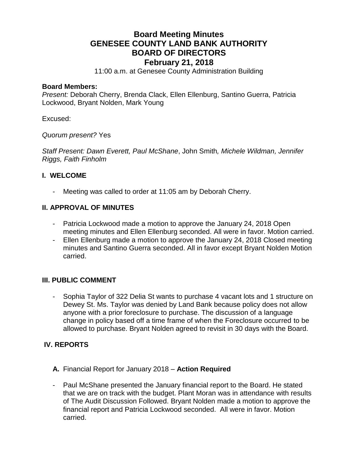# **Board Meeting Minutes GENESEE COUNTY LAND BANK AUTHORITY BOARD OF DIRECTORS February 21, 2018**

11:00 a.m. at Genesee County Administration Building

#### **Board Members:**

*Present:* Deborah Cherry, Brenda Clack, Ellen Ellenburg, Santino Guerra, Patricia Lockwood, Bryant Nolden, Mark Young

Excused:

*Quorum present?* Yes

*Staff Present: Dawn Everett, Paul McShane*, John Smith*, Michele Wildman, Jennifer Riggs, Faith Finholm*

## **I. WELCOME**

Meeting was called to order at 11:05 am by Deborah Cherry.

# **II. APPROVAL OF MINUTES**

- Patricia Lockwood made a motion to approve the January 24, 2018 Open meeting minutes and Ellen Ellenburg seconded. All were in favor. Motion carried.
- Ellen Ellenburg made a motion to approve the January 24, 2018 Closed meeting minutes and Santino Guerra seconded. All in favor except Bryant Nolden Motion carried.

## **III. PUBLIC COMMENT**

Sophia Taylor of 322 Delia St wants to purchase 4 vacant lots and 1 structure on Dewey St. Ms. Taylor was denied by Land Bank because policy does not allow anyone with a prior foreclosure to purchase. The discussion of a language change in policy based off a time frame of when the Foreclosure occurred to be allowed to purchase. Bryant Nolden agreed to revisit in 30 days with the Board.

## **IV. REPORTS**

- **A.** Financial Report for January 2018 **Action Required**
- Paul McShane presented the January financial report to the Board. He stated that we are on track with the budget. Plant Moran was in attendance with results of The Audit Discussion Followed. Bryant Nolden made a motion to approve the financial report and Patricia Lockwood seconded. All were in favor. Motion carried.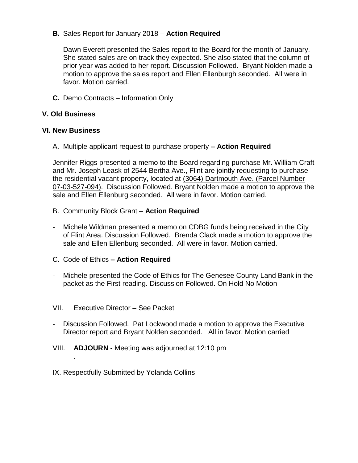- **B.** Sales Report for January 2018 **Action Required**
- Dawn Everett presented the Sales report to the Board for the month of January. She stated sales are on track they expected. She also stated that the column of prior year was added to her report. Discussion Followed. Bryant Nolden made a motion to approve the sales report and Ellen Ellenburgh seconded. All were in favor. Motion carried.
- **C.** Demo Contracts Information Only

## **V. Old Business**

# **VI. New Business**

A. Multiple applicant request to purchase property **– Action Required**

Jennifer Riggs presented a memo to the Board regarding purchase Mr. William Craft and Mr. Joseph Leask of 2544 Bertha Ave., Flint are jointly requesting to purchase the residential vacant property, located at (3064) Dartmouth Ave. (Parcel Number 07-03-527-094). Discussion Followed. Bryant Nolden made a motion to approve the sale and Ellen Ellenburg seconded. All were in favor. Motion carried.

- B. Community Block Grant **Action Required**
- Michele Wildman presented a memo on CDBG funds being received in the City of Flint Area. Discussion Followed. Brenda Clack made a motion to approve the sale and Ellen Ellenburg seconded. All were in favor. Motion carried.
- C. Code of Ethics **– Action Required**
- Michele presented the Code of Ethics for The Genesee County Land Bank in the packet as the First reading. Discussion Followed. On Hold No Motion
- VII. Executive Director See Packet

- Discussion Followed. Pat Lockwood made a motion to approve the Executive Director report and Bryant Nolden seconded. All in favor. Motion carried
- VIII. **ADJOURN -** Meeting was adjourned at 12:10 pm
- IX. Respectfully Submitted by Yolanda Collins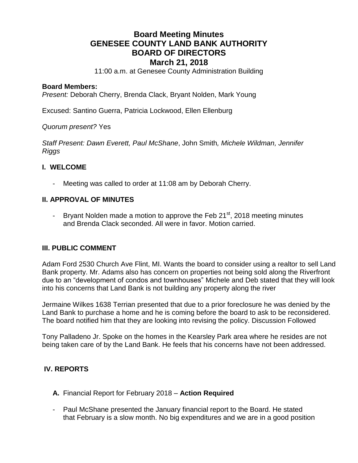# **Board Meeting Minutes GENESEE COUNTY LAND BANK AUTHORITY BOARD OF DIRECTORS March 21, 2018**

11:00 a.m. at Genesee County Administration Building

#### **Board Members:**

*Present:* Deborah Cherry, Brenda Clack, Bryant Nolden, Mark Young

Excused: Santino Guerra, Patricia Lockwood, Ellen Ellenburg

#### *Quorum present?* Yes

*Staff Present: Dawn Everett, Paul McShane*, John Smith*, Michele Wildman, Jennifer Riggs*

#### **I. WELCOME**

Meeting was called to order at 11:08 am by Deborah Cherry.

#### **II. APPROVAL OF MINUTES**

- Bryant Nolden made a motion to approve the Feb  $21<sup>st</sup>$ , 2018 meeting minutes and Brenda Clack seconded. All were in favor. Motion carried.

## **III. PUBLIC COMMENT**

Adam Ford 2530 Church Ave Flint, MI. Wants the board to consider using a realtor to sell Land Bank property. Mr. Adams also has concern on properties not being sold along the Riverfront due to an "development of condos and townhouses" Michele and Deb stated that they will look into his concerns that Land Bank is not building any property along the river

Jermaine Wilkes 1638 Terrian presented that due to a prior foreclosure he was denied by the Land Bank to purchase a home and he is coming before the board to ask to be reconsidered. The board notified him that they are looking into revising the policy. Discussion Followed

Tony Palladeno Jr. Spoke on the homes in the Kearsley Park area where he resides are not being taken care of by the Land Bank. He feels that his concerns have not been addressed.

## **IV. REPORTS**

- **A.** Financial Report for February 2018 **Action Required**
- Paul McShane presented the January financial report to the Board. He stated that February is a slow month. No big expenditures and we are in a good position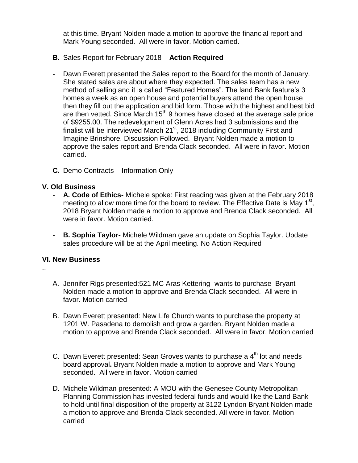at this time. Bryant Nolden made a motion to approve the financial report and Mark Young seconded. All were in favor. Motion carried.

- **B.** Sales Report for February 2018 **Action Required**
- Dawn Everett presented the Sales report to the Board for the month of January. She stated sales are about where they expected. The sales team has a new method of selling and it is called "Featured Homes". The land Bank feature's 3 homes a week as an open house and potential buyers attend the open house then they fill out the application and bid form. Those with the highest and best bid are then vetted. Since March  $15<sup>th</sup>$  9 homes have closed at the average sale price of \$9255.00. The redevelopment of Glenn Acres had 3 submissions and the finalist will be interviewed March 21<sup>st</sup>, 2018 including Community First and Imagine Brinshore. Discussion Followed. Bryant Nolden made a motion to approve the sales report and Brenda Clack seconded. All were in favor. Motion carried.
- **C.** Demo Contracts Information Only

## **V. Old Business**

- **A. Code of Ethics-** Michele spoke: First reading was given at the February 2018 meeting to allow more time for the board to review. The Effective Date is May 1<sup>st</sup>, 2018 Bryant Nolden made a motion to approve and Brenda Clack seconded. All were in favor. Motion carried.
- **B. Sophia Taylor-** Michele Wildman gave an update on Sophia Taylor. Update sales procedure will be at the April meeting. No Action Required

## **VI. New Business**

..

- A. Jennifer Rigs presented:521 MC Aras Kettering- wants to purchase Bryant Nolden made a motion to approve and Brenda Clack seconded. All were in favor. Motion carried
- B. Dawn Everett presented: New Life Church wants to purchase the property at 1201 W. Pasadena to demolish and grow a garden. Bryant Nolden made a motion to approve and Brenda Clack seconded. All were in favor. Motion carried
- C. Dawn Everett presented: Sean Groves wants to purchase a  $4<sup>th</sup>$  lot and needs board approval**.** Bryant Nolden made a motion to approve and Mark Young seconded. All were in favor. Motion carried
- D. Michele Wildman presented: A MOU with the Genesee County Metropolitan Planning Commission has invested federal funds and would like the Land Bank to hold until final disposition of the property at 3122 Lyndon Bryant Nolden made a motion to approve and Brenda Clack seconded. All were in favor. Motion carried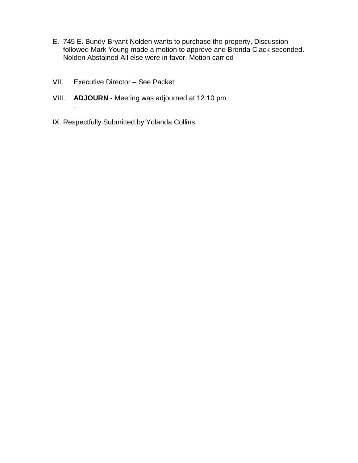- E. 745 E. Bundy-Bryant Nolden wants to purchase the property, Discussion followed Mark Young made a motion to approve and Brenda Clack seconded. Nolden Abstained All else were in favor. Motion carried
- VII. Executive Director See Packet

- VIII. **ADJOURN -** Meeting was adjourned at 12:10 pm
- IX. Respectfully Submitted by Yolanda Collins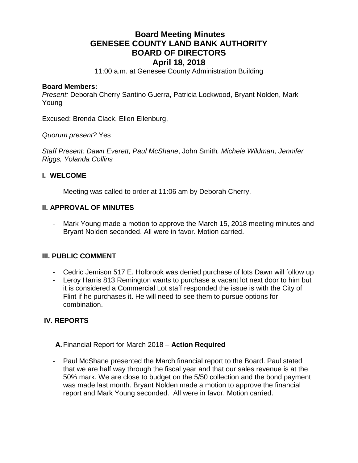# **Board Meeting Minutes GENESEE COUNTY LAND BANK AUTHORITY BOARD OF DIRECTORS April 18, 2018**

11:00 a.m. at Genesee County Administration Building

#### **Board Members:**

*Present:* Deborah Cherry Santino Guerra, Patricia Lockwood, Bryant Nolden, Mark Young

Excused: Brenda Clack, Ellen Ellenburg,

*Quorum present?* Yes

*Staff Present: Dawn Everett, Paul McShane*, John Smith*, Michele Wildman, Jennifer Riggs, Yolanda Collins*

#### **I. WELCOME**

Meeting was called to order at 11:06 am by Deborah Cherry.

## **II. APPROVAL OF MINUTES**

- Mark Young made a motion to approve the March 15, 2018 meeting minutes and Bryant Nolden seconded. All were in favor. Motion carried.

## **III. PUBLIC COMMENT**

- Cedric Jemison 517 E. Holbrook was denied purchase of lots Dawn will follow up
- Leroy Harris 813 Remington wants to purchase a vacant lot next door to him but it is considered a Commercial Lot staff responded the issue is with the City of Flint if he purchases it. He will need to see them to pursue options for combination.

## **IV. REPORTS**

- **A.**Financial Report for March 2018 **Action Required**
- Paul McShane presented the March financial report to the Board. Paul stated that we are half way through the fiscal year and that our sales revenue is at the 50% mark. We are close to budget on the 5/50 collection and the bond payment was made last month. Bryant Nolden made a motion to approve the financial report and Mark Young seconded. All were in favor. Motion carried.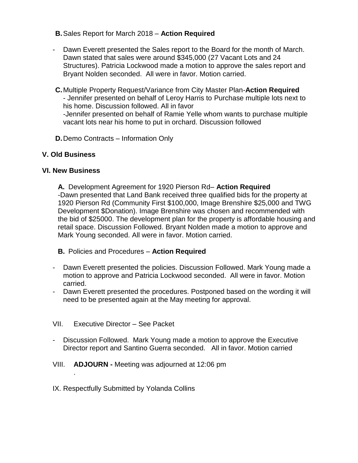# **B.**Sales Report for March 2018 – **Action Required**

- Dawn Everett presented the Sales report to the Board for the month of March. Dawn stated that sales were around \$345,000 (27 Vacant Lots and 24 Structures). Patricia Lockwood made a motion to approve the sales report and Bryant Nolden seconded. All were in favor. Motion carried.
- **C.**Multiple Property Request/Variance from City Master Plan-**Action Required** - Jennifer presented on behalf of Leroy Harris to Purchase multiple lots next to his home. Discussion followed. All in favor -Jennifer presented on behalf of Ramie Yelle whom wants to purchase multiple vacant lots near his home to put in orchard. Discussion followed
- **D.**Demo Contracts Information Only

# **V. Old Business**

## **VI. New Business**

.

**A.** Development Agreement for 1920 Pierson Rd– **Action Required** -Dawn presented that Land Bank received three qualified bids for the property at 1920 Pierson Rd (Community First \$100,000, Image Brenshire \$25,000 and TWG Development \$Donation). Image Brenshire was chosen and recommended with the bid of \$25000. The development plan for the property is affordable housing and retail space. Discussion Followed. Bryant Nolden made a motion to approve and Mark Young seconded. All were in favor. Motion carried.

**B.** Policies and Procedures – **Action Required**

- Dawn Everett presented the policies. Discussion Followed. Mark Young made a motion to approve and Patricia Lockwood seconded. All were in favor. Motion carried.
- Dawn Everett presented the procedures. Postponed based on the wording it will need to be presented again at the May meeting for approval.
- VII. Executive Director See Packet
- Discussion Followed. Mark Young made a motion to approve the Executive Director report and Santino Guerra seconded. All in favor. Motion carried
- VIII. **ADJOURN -** Meeting was adjourned at 12:06 pm
- IX. Respectfully Submitted by Yolanda Collins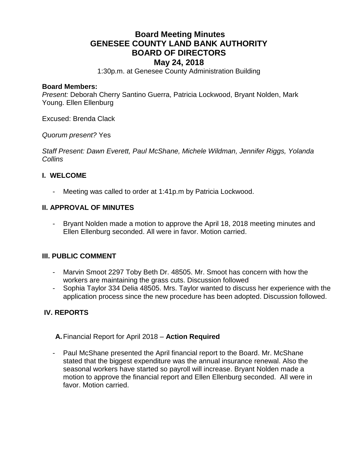# **Board Meeting Minutes GENESEE COUNTY LAND BANK AUTHORITY BOARD OF DIRECTORS May 24, 2018**

1:30p.m. at Genesee County Administration Building

#### **Board Members:**

*Present:* Deborah Cherry Santino Guerra, Patricia Lockwood, Bryant Nolden, Mark Young. Ellen Ellenburg

Excused: Brenda Clack

*Quorum present?* Yes

*Staff Present: Dawn Everett, Paul McShane, Michele Wildman, Jennifer Riggs, Yolanda Collins*

#### **I. WELCOME**

Meeting was called to order at 1:41p.m by Patricia Lockwood.

## **II. APPROVAL OF MINUTES**

- Bryant Nolden made a motion to approve the April 18, 2018 meeting minutes and Ellen Ellenburg seconded. All were in favor. Motion carried.

## **III. PUBLIC COMMENT**

- Marvin Smoot 2297 Toby Beth Dr. 48505. Mr. Smoot has concern with how the workers are maintaining the grass cuts. Discussion followed
- Sophia Taylor 334 Delia 48505. Mrs. Taylor wanted to discuss her experience with the application process since the new procedure has been adopted. Discussion followed.

# **IV. REPORTS**

**A.**Financial Report for April 2018 – **Action Required**

- Paul McShane presented the April financial report to the Board. Mr. McShane stated that the biggest expenditure was the annual insurance renewal. Also the seasonal workers have started so payroll will increase. Bryant Nolden made a motion to approve the financial report and Ellen Ellenburg seconded. All were in favor. Motion carried.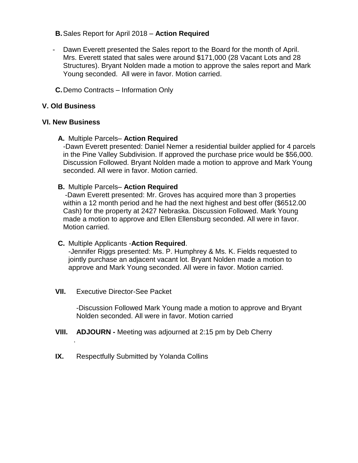## **B.**Sales Report for April 2018 – **Action Required**

- Dawn Everett presented the Sales report to the Board for the month of April. Mrs. Everett stated that sales were around \$171,000 (28 Vacant Lots and 28 Structures). Bryant Nolden made a motion to approve the sales report and Mark Young seconded. All were in favor. Motion carried.
- **C.**Demo Contracts Information Only

# **V. Old Business**

# **VI. New Business**

# **A.** Multiple Parcels– **Action Required**

-Dawn Everett presented: Daniel Nemer a residential builder applied for 4 parcels in the Pine Valley Subdivision. If approved the purchase price would be \$56,000. Discussion Followed. Bryant Nolden made a motion to approve and Mark Young seconded. All were in favor. Motion carried.

# **B.** Multiple Parcels– **Action Required**

-Dawn Everett presented: Mr. Groves has acquired more than 3 properties within a 12 month period and he had the next highest and best offer (\$6512.00 Cash) for the property at 2427 Nebraska. Discussion Followed. Mark Young made a motion to approve and Ellen Ellensburg seconded. All were in favor. Motion carried.

## **C.** Multiple Applicants -**Action Required**.

-Jennifer Riggs presented: Ms. P. Humphrey & Ms. K. Fields requested to jointly purchase an adjacent vacant lot. Bryant Nolden made a motion to approve and Mark Young seconded. All were in favor. Motion carried.

**VII.** Executive Director-See Packet

.

-Discussion Followed Mark Young made a motion to approve and Bryant Nolden seconded. All were in favor. Motion carried

- **VIII. ADJOURN -** Meeting was adjourned at 2:15 pm by Deb Cherry
- **IX.** Respectfully Submitted by Yolanda Collins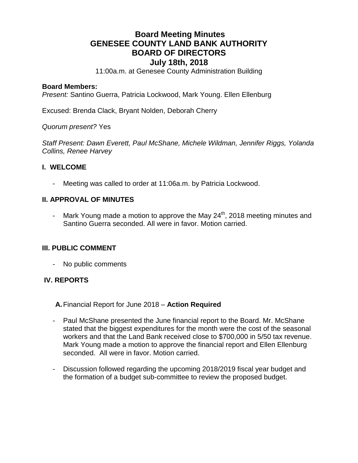# **Board Meeting Minutes GENESEE COUNTY LAND BANK AUTHORITY BOARD OF DIRECTORS July 18th, 2018**

11:00a.m. at Genesee County Administration Building

#### **Board Members:**

*Present:* Santino Guerra, Patricia Lockwood, Mark Young. Ellen Ellenburg

Excused: Brenda Clack, Bryant Nolden, Deborah Cherry

*Quorum present?* Yes

*Staff Present: Dawn Everett, Paul McShane, Michele Wildman, Jennifer Riggs, Yolanda Collins, Renee Harvey*

#### **I. WELCOME**

Meeting was called to order at 11:06a.m. by Patricia Lockwood.

#### **II. APPROVAL OF MINUTES**

- Mark Young made a motion to approve the May  $24<sup>th</sup>$ , 2018 meeting minutes and Santino Guerra seconded. All were in favor. Motion carried.

#### **III. PUBLIC COMMENT**

- No public comments

## **IV. REPORTS**

**A.**Financial Report for June 2018 – **Action Required**

- Paul McShane presented the June financial report to the Board. Mr. McShane stated that the biggest expenditures for the month were the cost of the seasonal workers and that the Land Bank received close to \$700,000 in 5/50 tax revenue. Mark Young made a motion to approve the financial report and Ellen Ellenburg seconded. All were in favor. Motion carried.
- Discussion followed regarding the upcoming 2018/2019 fiscal year budget and the formation of a budget sub-committee to review the proposed budget.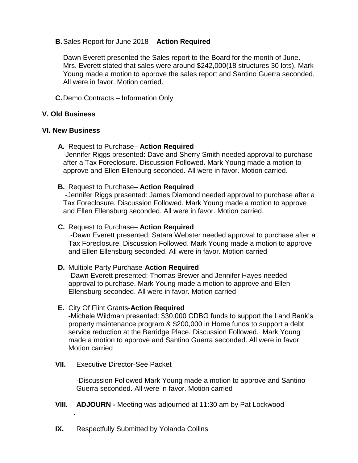- **B.**Sales Report for June 2018 **Action Required**
- Dawn Everett presented the Sales report to the Board for the month of June. Mrs. Everett stated that sales were around \$242,000(18 structures 30 lots). Mark Young made a motion to approve the sales report and Santino Guerra seconded. All were in favor. Motion carried.
- **C.**Demo Contracts Information Only

#### **V. Old Business**

#### **VI. New Business**

**A.** Request to Purchase– **Action Required**

-Jennifer Riggs presented: Dave and Sherry Smith needed approval to purchase after a Tax Foreclosure. Discussion Followed. Mark Young made a motion to approve and Ellen Ellenburg seconded. All were in favor. Motion carried.

#### **B.** Request to Purchase– **Action Required**

-Jennifer Riggs presented: James Diamond needed approval to purchase after a Tax Foreclosure. Discussion Followed. Mark Young made a motion to approve and Ellen Ellensburg seconded. All were in favor. Motion carried.

#### **C.** Request to Purchase– **Action Required**

-Dawn Everett presented: Satara Webster needed approval to purchase after a Tax Foreclosure. Discussion Followed. Mark Young made a motion to approve and Ellen Ellensburg seconded. All were in favor. Motion carried

## **D.** Multiple Party Purchase-**Action Required**

-Dawn Everett presented: Thomas Brewer and Jennifer Hayes needed approval to purchase. Mark Young made a motion to approve and Ellen Ellensburg seconded. All were in favor. Motion carried

#### **E.** City Of Flint Grants-**Action Required**

**-**Michele Wildman presented: \$30,000 CDBG funds to support the Land Bank's property maintenance program & \$200,000 in Home funds to support a debt service reduction at the Berridge Place. Discussion Followed. Mark Young made a motion to approve and Santino Guerra seconded. All were in favor. Motion carried

**VII.** Executive Director-See Packet

.

-Discussion Followed Mark Young made a motion to approve and Santino Guerra seconded. All were in favor. Motion carried

- **VIII. ADJOURN -** Meeting was adjourned at 11:30 am by Pat Lockwood
- **IX.** Respectfully Submitted by Yolanda Collins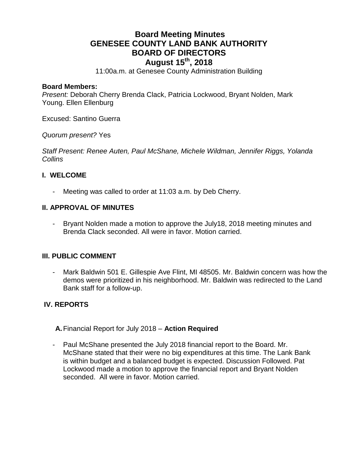# **Board Meeting Minutes GENESEE COUNTY LAND BANK AUTHORITY BOARD OF DIRECTORS August 15th, 2018**

11:00a.m. at Genesee County Administration Building

#### **Board Members:**

*Present:* Deborah Cherry Brenda Clack, Patricia Lockwood, Bryant Nolden, Mark Young. Ellen Ellenburg

Excused: Santino Guerra

*Quorum present?* Yes

*Staff Present: Renee Auten, Paul McShane, Michele Wildman, Jennifer Riggs, Yolanda Collins*

## **I. WELCOME**

Meeting was called to order at 11:03 a.m. by Deb Cherry.

## **II. APPROVAL OF MINUTES**

- Bryant Nolden made a motion to approve the July18, 2018 meeting minutes and Brenda Clack seconded. All were in favor. Motion carried.

## **III. PUBLIC COMMENT**

- Mark Baldwin 501 E. Gillespie Ave Flint, MI 48505. Mr. Baldwin concern was how the demos were prioritized in his neighborhood. Mr. Baldwin was redirected to the Land Bank staff for a follow-up.

## **IV. REPORTS**

**A.**Financial Report for July 2018 – **Action Required**

- Paul McShane presented the July 2018 financial report to the Board. Mr. McShane stated that their were no big expenditures at this time. The Lank Bank is within budget and a balanced budget is expected. Discussion Followed. Pat Lockwood made a motion to approve the financial report and Bryant Nolden seconded. All were in favor. Motion carried.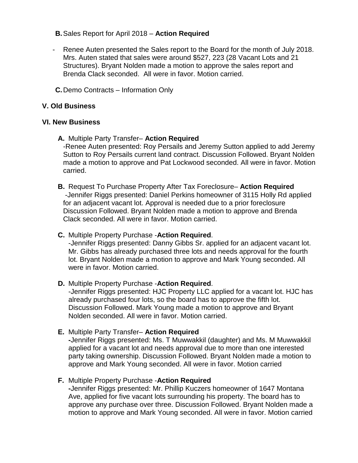## **B.**Sales Report for April 2018 – **Action Required**

- Renee Auten presented the Sales report to the Board for the month of July 2018. Mrs. Auten stated that sales were around \$527, 223 (28 Vacant Lots and 21 Structures). Bryant Nolden made a motion to approve the sales report and Brenda Clack seconded. All were in favor. Motion carried.
- **C.**Demo Contracts Information Only

# **V. Old Business**

# **VI. New Business**

**A.** Multiple Party Transfer– **Action Required**

-Renee Auten presented: Roy Persails and Jeremy Sutton applied to add Jeremy Sutton to Roy Persails current land contract. Discussion Followed. Bryant Nolden made a motion to approve and Pat Lockwood seconded. All were in favor. Motion carried.

**B.** Request To Purchase Property After Tax Foreclosure– **Action Required** -Jennifer Riggs presented: Daniel Perkins homeowner of 3115 Holly Rd applied for an adjacent vacant lot. Approval is needed due to a prior foreclosure Discussion Followed. Bryant Nolden made a motion to approve and Brenda Clack seconded. All were in favor. Motion carried.

## **C.** Multiple Property Purchase -**Action Required**.

-Jennifer Riggs presented: Danny Gibbs Sr. applied for an adjacent vacant lot. Mr. Gibbs has already purchased three lots and needs approval for the fourth lot. Bryant Nolden made a motion to approve and Mark Young seconded. All were in favor. Motion carried.

## **D.** Multiple Property Purchase -**Action Required**.

-Jennifer Riggs presented: HJC Property LLC applied for a vacant lot. HJC has already purchased four lots, so the board has to approve the fifth lot. Discussion Followed. Mark Young made a motion to approve and Bryant Nolden seconded. All were in favor. Motion carried.

## **E.** Multiple Party Transfer– **Action Required**

**-**Jennifer Riggs presented: Ms. T Muwwakkil (daughter) and Ms. M Muwwakkil applied for a vacant lot and needs approval due to more than one interested party taking ownership. Discussion Followed. Bryant Nolden made a motion to approve and Mark Young seconded. All were in favor. Motion carried

# **F.** Multiple Property Purchase -**Action Required**

**-**Jennifer Riggs presented: Mr. Phillip Kuczers homeowner of 1647 Montana Ave, applied for five vacant lots surrounding his property. The board has to approve any purchase over three. Discussion Followed. Bryant Nolden made a motion to approve and Mark Young seconded. All were in favor. Motion carried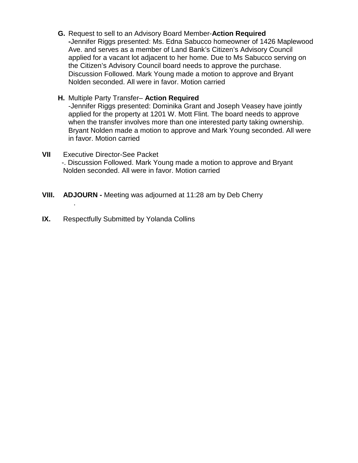- **G.** Request to sell to an Advisory Board Member-**Action Required -**Jennifer Riggs presented: Ms. Edna Sabucco homeowner of 1426 Maplewood Ave. and serves as a member of Land Bank's Citizen's Advisory Council applied for a vacant lot adjacent to her home. Due to Ms Sabucco serving on the Citizen's Advisory Council board needs to approve the purchase. Discussion Followed. Mark Young made a motion to approve and Bryant Nolden seconded. All were in favor. Motion carried
- **H.** Multiple Party Transfer– **Action Required**

-Jennifer Riggs presented: Dominika Grant and Joseph Veasey have jointly applied for the property at 1201 W. Mott Flint. The board needs to approve when the transfer involves more than one interested party taking ownership. Bryant Nolden made a motion to approve and Mark Young seconded. All were in favor. Motion carried

- **VII** Executive Director-See Packet -. Discussion Followed. Mark Young made a motion to approve and Bryant Nolden seconded. All were in favor. Motion carried
- **VIII. ADJOURN -** Meeting was adjourned at 11:28 am by Deb Cherry
- **IX.** Respectfully Submitted by Yolanda Collins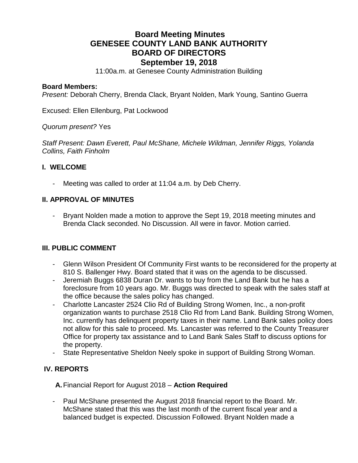# **Board Meeting Minutes GENESEE COUNTY LAND BANK AUTHORITY BOARD OF DIRECTORS September 19, 2018**

11:00a.m. at Genesee County Administration Building

#### **Board Members:**

*Present:* Deborah Cherry, Brenda Clack, Bryant Nolden, Mark Young, Santino Guerra

Excused: Ellen Ellenburg, Pat Lockwood

*Quorum present?* Yes

*Staff Present: Dawn Everett, Paul McShane, Michele Wildman, Jennifer Riggs, Yolanda Collins, Faith Finholm*

#### **I. WELCOME**

Meeting was called to order at 11:04 a.m. by Deb Cherry.

## **II. APPROVAL OF MINUTES**

Bryant Nolden made a motion to approve the Sept 19, 2018 meeting minutes and Brenda Clack seconded. No Discussion. All were in favor. Motion carried.

## **III. PUBLIC COMMENT**

- Glenn Wilson President Of Community First wants to be reconsidered for the property at 810 S. Ballenger Hwy. Board stated that it was on the agenda to be discussed.
- Jeremiah Buggs 6838 Duran Dr. wants to buy from the Land Bank but he has a foreclosure from 10 years ago. Mr. Buggs was directed to speak with the sales staff at the office because the sales policy has changed.
- Charlotte Lancaster 2524 Clio Rd of Building Strong Women, Inc., a non-profit organization wants to purchase 2518 Clio Rd from Land Bank. Building Strong Women, Inc. currently has delinquent property taxes in their name. Land Bank sales policy does not allow for this sale to proceed. Ms. Lancaster was referred to the County Treasurer Office for property tax assistance and to Land Bank Sales Staff to discuss options for the property.
- State Representative Sheldon Neely spoke in support of Building Strong Woman.

## **IV. REPORTS**

**A.**Financial Report for August 2018 – **Action Required**

Paul McShane presented the August 2018 financial report to the Board. Mr. McShane stated that this was the last month of the current fiscal year and a balanced budget is expected. Discussion Followed. Bryant Nolden made a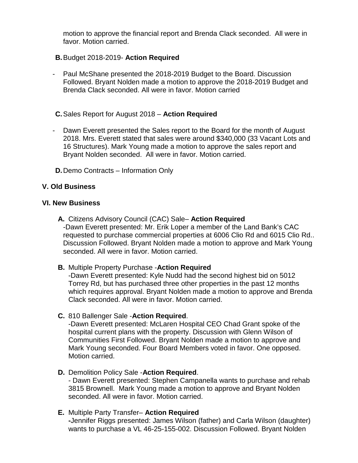motion to approve the financial report and Brenda Clack seconded. All were in favor. Motion carried.

- **B.**Budget 2018-2019- **Action Required**
- Paul McShane presented the 2018-2019 Budget to the Board. Discussion Followed. Bryant Nolden made a motion to approve the 2018-2019 Budget and Brenda Clack seconded. All were in favor. Motion carried
- **C.**Sales Report for August 2018 **Action Required**
- Dawn Everett presented the Sales report to the Board for the month of August 2018. Mrs. Everett stated that sales were around \$340,000 (33 Vacant Lots and 16 Structures). Mark Young made a motion to approve the sales report and Bryant Nolden seconded. All were in favor. Motion carried.
- **D.**Demo Contracts Information Only

## **V. Old Business**

#### **VI. New Business**

- **A.** Citizens Advisory Council (CAC) Sale– **Action Required** -Dawn Everett presented: Mr. Erik Loper a member of the Land Bank's CAC requested to purchase commercial properties at 6006 Clio Rd and 6015 Clio Rd.. Discussion Followed. Bryant Nolden made a motion to approve and Mark Young seconded. All were in favor. Motion carried.
- **B.** Multiple Property Purchase -**Action Required**

-Dawn Everett presented: Kyle Nudd had the second highest bid on 5012 Torrey Rd, but has purchased three other properties in the past 12 months which requires approval. Bryant Nolden made a motion to approve and Brenda Clack seconded. All were in favor. Motion carried.

**C.** 810 Ballenger Sale -**Action Required**.

-Dawn Everett presented: McLaren Hospital CEO Chad Grant spoke of the hospital current plans with the property. Discussion with Glenn Wilson of Communities First Followed. Bryant Nolden made a motion to approve and Mark Young seconded. Four Board Members voted in favor. One opposed. Motion carried.

**D.** Demolition Policy Sale -**Action Required**.

- Dawn Everett presented: Stephen Campanella wants to purchase and rehab 3815 Brownell. Mark Young made a motion to approve and Bryant Nolden seconded. All were in favor. Motion carried.

**E.** Multiple Party Transfer– **Action Required -**Jennifer Riggs presented: James Wilson (father) and Carla Wilson (daughter)

wants to purchase a VL 46-25-155-002. Discussion Followed. Bryant Nolden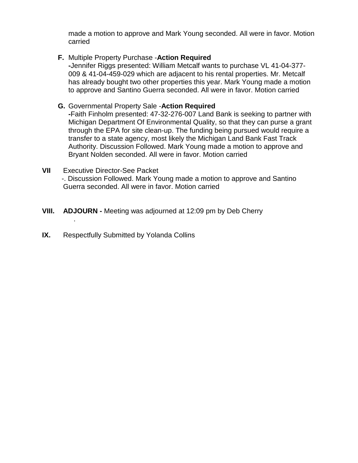made a motion to approve and Mark Young seconded. All were in favor. Motion carried

# **F.** Multiple Property Purchase -**Action Required**

**-**Jennifer Riggs presented: William Metcalf wants to purchase VL 41-04-377- 009 & 41-04-459-029 which are adjacent to his rental properties. Mr. Metcalf has already bought two other properties this year. Mark Young made a motion to approve and Santino Guerra seconded. All were in favor. Motion carried

## **G.** Governmental Property Sale -**Action Required**

**-**Faith Finholm presented: 47-32-276-007 Land Bank is seeking to partner with Michigan Department Of Environmental Quality, so that they can purse a grant through the EPA for site clean-up. The funding being pursued would require a transfer to a state agency, most likely the Michigan Land Bank Fast Track Authority. Discussion Followed. Mark Young made a motion to approve and Bryant Nolden seconded. All were in favor. Motion carried

#### **VII** Executive Director-See Packet -. Discussion Followed. Mark Young made a motion to approve and Santino Guerra seconded. All were in favor. Motion carried

- **VIII. ADJOURN -** Meeting was adjourned at 12:09 pm by Deb Cherry
- **IX.** Respectfully Submitted by Yolanda Collins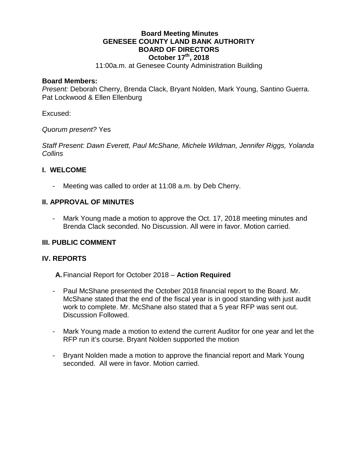## **Board Meeting Minutes GENESEE COUNTY LAND BANK AUTHORITY BOARD OF DIRECTORS October 17th, 2018**

11:00a.m. at Genesee County Administration Building

#### **Board Members:**

*Present:* Deborah Cherry, Brenda Clack, Bryant Nolden, Mark Young, Santino Guerra. Pat Lockwood & Ellen Ellenburg

Excused:

*Quorum present?* Yes

*Staff Present: Dawn Everett, Paul McShane, Michele Wildman, Jennifer Riggs, Yolanda Collins*

## **I. WELCOME**

- Meeting was called to order at 11:08 a.m. by Deb Cherry.

## **II. APPROVAL OF MINUTES**

- Mark Young made a motion to approve the Oct. 17, 2018 meeting minutes and Brenda Clack seconded. No Discussion. All were in favor. Motion carried.

## **III. PUBLIC COMMENT**

## **IV. REPORTS**

**A.**Financial Report for October 2018 – **Action Required**

- Paul McShane presented the October 2018 financial report to the Board. Mr. McShane stated that the end of the fiscal year is in good standing with just audit work to complete. Mr. McShane also stated that a 5 year RFP was sent out. Discussion Followed.
- Mark Young made a motion to extend the current Auditor for one year and let the RFP run it's course. Bryant Nolden supported the motion
- Bryant Nolden made a motion to approve the financial report and Mark Young seconded. All were in favor. Motion carried.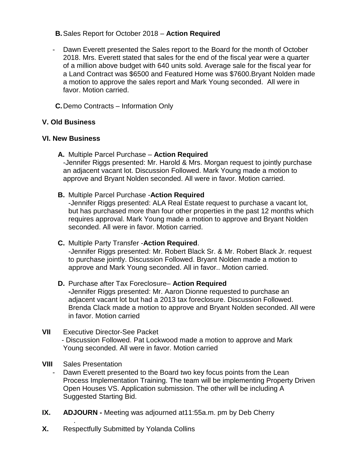# **B.**Sales Report for October 2018 – **Action Required**

- Dawn Everett presented the Sales report to the Board for the month of October 2018. Mrs. Everett stated that sales for the end of the fiscal year were a quarter of a million above budget with 640 units sold. Average sale for the fiscal year for a Land Contract was \$6500 and Featured Home was \$7600.Bryant Nolden made a motion to approve the sales report and Mark Young seconded. All were in favor. Motion carried.
- **C.**Demo Contracts Information Only

# **V. Old Business**

## **VI. New Business**

- **A.** Multiple Parcel Purchase **Action Required** -Jennifer Riggs presented: Mr. Harold & Mrs. Morgan request to jointly purchase an adjacent vacant lot. Discussion Followed. Mark Young made a motion to approve and Bryant Nolden seconded. All were in favor. Motion carried.
- **B.** Multiple Parcel Purchase -**Action Required**

-Jennifer Riggs presented: ALA Real Estate request to purchase a vacant lot, but has purchased more than four other properties in the past 12 months which requires approval. Mark Young made a motion to approve and Bryant Nolden seconded. All were in favor. Motion carried.

## **C.** Multiple Party Transfer -**Action Required**.

-Jennifer Riggs presented: Mr. Robert Black Sr. & Mr. Robert Black Jr. request to purchase jointly. Discussion Followed. Bryant Nolden made a motion to approve and Mark Young seconded. All in favor.. Motion carried.

#### **D.** Purchase after Tax Foreclosure– **Action Required -**Jennifer Riggs presented: Mr. Aaron Dionne requested to purchase an adjacent vacant lot but had a 2013 tax foreclosure. Discussion Followed. Brenda Clack made a motion to approve and Bryant Nolden seconded. All were in favor. Motion carried

#### **VII** Executive Director-See Packet - Discussion Followed. Pat Lockwood made a motion to approve and Mark Young seconded. All were in favor. Motion carried

## **VIII** Sales Presentation

- Dawn Everett presented to the Board two key focus points from the Lean Process Implementation Training. The team will be implementing Property Driven Open Houses VS. Application submission. The other will be including A Suggested Starting Bid.
- **IX. ADJOURN -** Meeting was adjourned at11:55a.m. pm by Deb Cherry
- . **X.** Respectfully Submitted by Yolanda Collins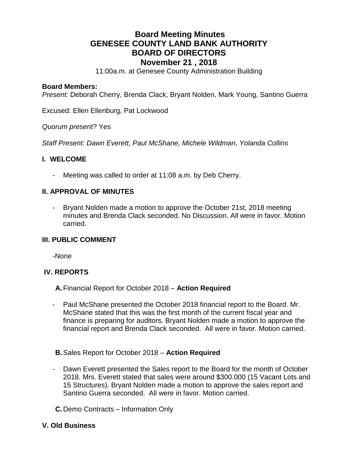# **Board Meeting Minutes GENESEE COUNTY LAND BANK AUTHORITY BOARD OF DIRECTORS November 21 , 2018**

11:00a.m. at Genesee County Administration Building

#### **Board Members:**

*Present:* Deborah Cherry, Brenda Clack, Bryant Nolden, Mark Young, Santino Guerra

Excused: Ellen Ellenburg, Pat Lockwood

*Quorum present?* Yes

*Staff Present: Dawn Everett, Paul McShane, Michele Wildman, Yolanda Collins*

#### **I. WELCOME**

- Meeting was called to order at 11:08 a.m. by Deb Cherry.

## **II. APPROVAL OF MINUTES**

- Bryant Nolden made a motion to approve the October 21st, 2018 meeting minutes and Brenda Clack seconded. No Discussion. All were in favor. Motion carried.

#### **III. PUBLIC COMMENT**

-None

## **IV. REPORTS**

**A.**Financial Report for October 2018 – **Action Required**

Paul McShane presented the October 2018 financial report to the Board. Mr. McShane stated that this was the first month of the current fiscal year and finance is preparing for auditors. Bryant Nolden made a motion to approve the financial report and Brenda Clack seconded. All were in favor. Motion carried.

## **B.**Sales Report for October 2018 – **Action Required**

- Dawn Everett presented the Sales report to the Board for the month of October 2018. Mrs. Everett stated that sales were around \$300.000 (15 Vacant Lots and 15 Structures). Bryant Nolden made a motion to approve the sales report and Santino Guerra seconded. All were in favor. Motion carried.
- **C.**Demo Contracts Information Only

## **V. Old Business**